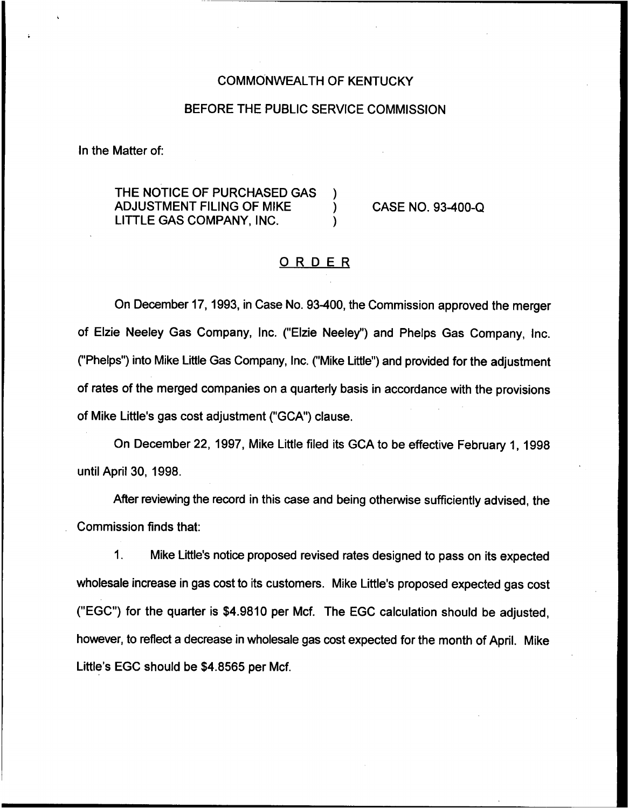### COMMONN/EALTH OF KENTUCKY

## BEFORE THE PUBLIC SERVICE COMMISSION

In the Matter of:

THE NOTICE OF PURCHASED GAS ADJUSTMENT FILING OF MIKE ) LITTLE GAS COMPANY, INC. )

CASE NO. 93-400-Q

## ORDER

On December 17, 1993, in Case No. 93400, the Commission approved the merger of Elzie Neeley Gas Company, Inc. {"Elzie Neeley") and Phelps Gas Company, Inc. ("Phelps") into Mike Little Gas Company, Inc. ("Mike Little") and provided for the adjustme of rates of the merged companies on a quarterly basis in accordance with the provisions of Mike Little's gas cost adjustment ("GCA") clause.

On December 22, 1997, Mike Little filed its GCA to be effective February 1, 1998 until April 30, 1998.

After reviewing the record in this case and being otherwise sufficiently advised, the Commission finds that.:

 $\mathbf{1}$ . Mike Little's notice proposed revised rates designed to pass on its expected wholesale increase in gas cost to its customers. Mike Little's proposed expected gas cost ("EGC") for the quarter is \$4.9810 per Mcf. The EGC calculation should be adjusted, however, to reflect a decrease in wholesale gas cost expected for the month of April. Mike Little's EGC should be \$4.8565 per Mcf.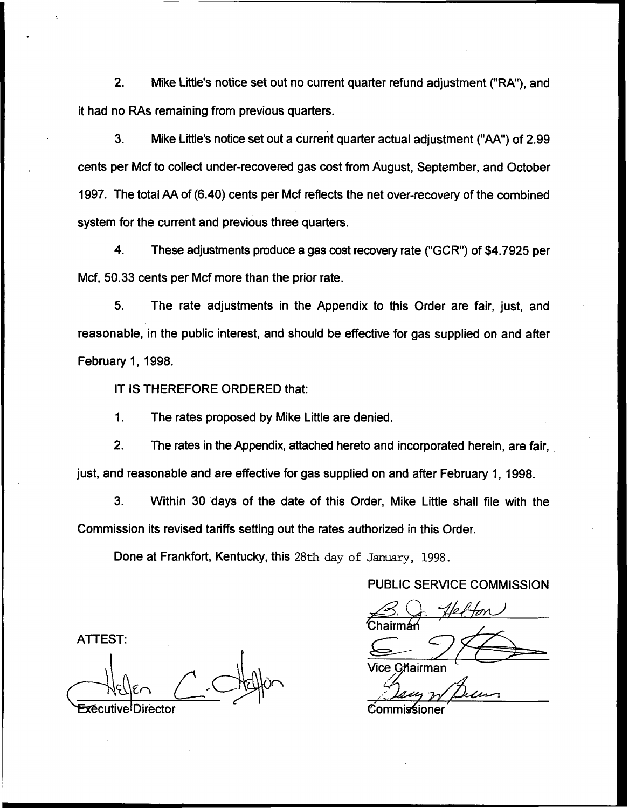2. Mike Little's notice set out no current quarter refund adjustment ("RA"), and it had no RAs remaining from previous quarters.

3. Mike Little's notice set out a current quarter actual adjustment ("AA") of 2.99 cents per Mcf to collect under-recovered gas cost from August, September, and October 1997. The total AA of (6.40) cents per Mcf reflects the net over-recovery of the combined system for the current and previous three quarters.

4. These adjustments produce a gas cost recovery rate ("GCR") of \$4.7925 per Mcf, 50.33 cents per Mcf more than the prior rate.

5. The rate adjustments in the Appendix to this Order are fair, just, and reasonable, in the public interest, and should be effective for gas supplied on and after February 1, 1998.

IT IS THEREFORE ORDERED that:

1. The rates proposed by Mike Little are denied.

2. The rates in the Appendix, attached hereto and incorporated herein, are fair, just, and reasonable and are effective for gas supplied on and after February 1, 1998.

3. Within 30 days of the date of this Order, Mike Little shall file with the Commission its revised tariffs setting out the rates authorized in this Order.

Done at Frankfort, Kentucky, this 28th day of January, 1998.

PUBLIC SERVICE COMMISSION

'rman

/ice Chairman

ATTEST:

Commissioner